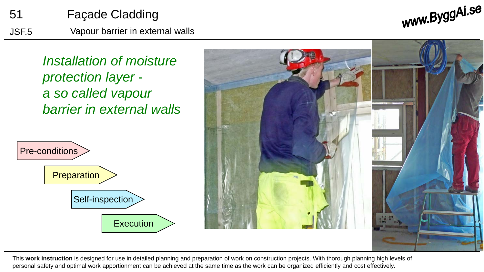

www.ByggAi.se

*Installation of moisture protection layer a so called vapour barrier in external walls*





This **work instruction** is designed for use in detailed planning and preparation of work on construction projects. With thorough planning high levels of personal safety and optimal work apportionment can be achieved at the same time as the work can be organized efficiently and cost effectively.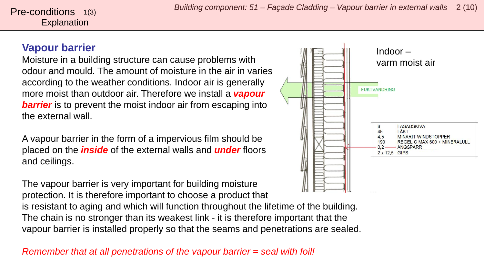#### **Vapour barrier**

Moisture in a building structure can cause problems with odour and mould. The amount of moisture in the air in varies according to the weather conditions. Indoor air is generally more moist than outdoor air. Therefore we install a *vapour*  **barrier** is to prevent the moist indoor air from escaping into the external wall.

A vapour barrier in the form of a impervious film should be placed on the *inside* of the external walls and *under* floors and ceilings.

The vapour barrier is very important for building moisture protection. It is therefore important to choose a product that

is resistant to aging and which will function throughout the lifetime of the building. The chain is no stronger than its weakest link - it is therefore important that the vapour barrier is installed properly so that the seams and penetrations are sealed.

*Remember that at all penetrations of the vapour barrier = seal with foil!*

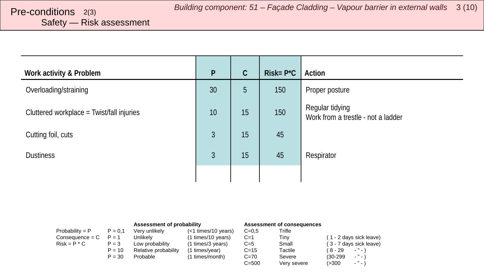# <span id="page-2-0"></span>Safety — Risk assessment

| Work activity & Problem                   | P  | $\mathcal{C}$ | $Risk = P^*C$ | Action                                                |
|-------------------------------------------|----|---------------|---------------|-------------------------------------------------------|
| Overloading/straining                     | 30 | 5             | 150           | Proper posture                                        |
| Cluttered workplace = Twist/fall injuries | 10 | 15            | 150           | Regular tidying<br>Work from a trestle - not a ladder |
| Cutting foil, cuts                        | 3  | 15            | 45            |                                                       |
| <b>Dustiness</b>                          | 3  | 15            | 45            | Respirator                                            |
|                                           |    |               |               |                                                       |

|                   |           | Assessment of probability |                       | Assessment of consequences |             |                                      |
|-------------------|-----------|---------------------------|-----------------------|----------------------------|-------------|--------------------------------------|
| Probability = $P$ | $P = 0.1$ | Verv unlikely             | $(<1$ times/10 years) | $C = 0.5$                  | Trifle      |                                      |
| $Consequence = C$ | $P = 1$   | Unlikelv                  | (1 times/10 years)    | $C=1$                      | Tinv        | (1 - 2 days sick leave)              |
| $Risk = P * C$    | $P = 3$   | Low probability           | (1 times/3 years)     | $C=5$                      | Small       | (3 - 7 days sick leave)              |
|                   | $P = 10$  | Relative probability      | (1 times/year)        | $C = 15$                   | Tactile     | $\cdots$<br>8 - 29                   |
|                   | $P = 30$  | Probable                  | (1 times/month)       | $C=70$                     | Severe      | $\cdots$<br>(30-299)                 |
|                   |           |                           |                       | $C = 500$                  | Very severe | $\mathcal{L}^{\mathcal{D}}$<br>(>300 |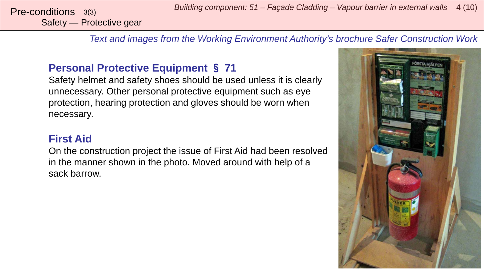*Building component: 51 – Façade Cladding – Vapour barrier in external walls* <sup>4</sup> (10) Pre-conditions 3(3)

Safety — Protective gear

*Text and images from the Working Environment Authority's brochure Safer Construction Work*

#### **Personal Protective Equipment** § **71**

Safety helmet and safety shoes should be used unless it is clearly unnecessary. Other personal protective equipment such as eye protection, hearing protection and gloves should be worn when necessary.

#### **First Aid**

On the construction project the issue of First Aid had been resolved in the manner shown in the photo. Moved around with help of a sack barrow.

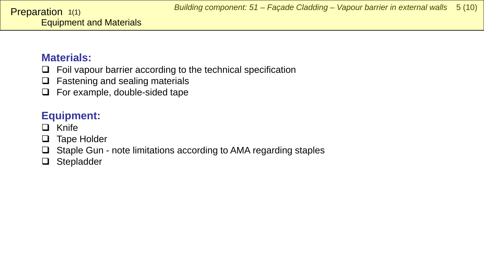#### <span id="page-4-0"></span>**Materials:**

- $\Box$  Foil vapour barrier according to the technical specification
- $\Box$  Fastening and sealing materials
- $\Box$  For example, double-sided tape

### **Equipment:**

- $\Box$  Knife
- $\Box$  Tape Holder
- $\Box$  Staple Gun note limitations according to AMA regarding staples
- □ Stepladder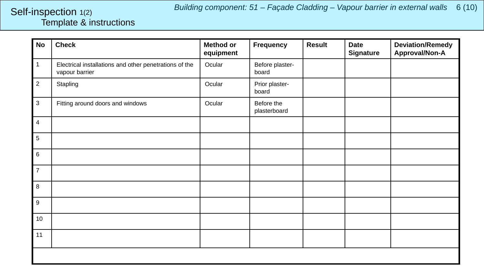#### <span id="page-5-0"></span>Template & instructions Self-inspection 1(2)

| <b>No</b>      | <b>Check</b>                                                             | <b>Method or</b><br>equipment | <b>Frequency</b>           | <b>Result</b> | <b>Date</b><br><b>Signature</b> | <b>Deviation/Remedy</b><br>Approval/Non-A |
|----------------|--------------------------------------------------------------------------|-------------------------------|----------------------------|---------------|---------------------------------|-------------------------------------------|
| $\mathbf{1}$   | Electrical installations and other penetrations of the<br>vapour barrier | Ocular                        | Before plaster-<br>board   |               |                                 |                                           |
| $\overline{2}$ | Stapling                                                                 | Ocular                        | Prior plaster-<br>board    |               |                                 |                                           |
| $\mathbf{3}$   | Fitting around doors and windows                                         | Ocular                        | Before the<br>plasterboard |               |                                 |                                           |
| $\overline{4}$ |                                                                          |                               |                            |               |                                 |                                           |
| 5              |                                                                          |                               |                            |               |                                 |                                           |
| 6              |                                                                          |                               |                            |               |                                 |                                           |
| $\overline{7}$ |                                                                          |                               |                            |               |                                 |                                           |
| 8              |                                                                          |                               |                            |               |                                 |                                           |
| 9              |                                                                          |                               |                            |               |                                 |                                           |
| 10             |                                                                          |                               |                            |               |                                 |                                           |
| 11             |                                                                          |                               |                            |               |                                 |                                           |
|                |                                                                          |                               |                            |               |                                 |                                           |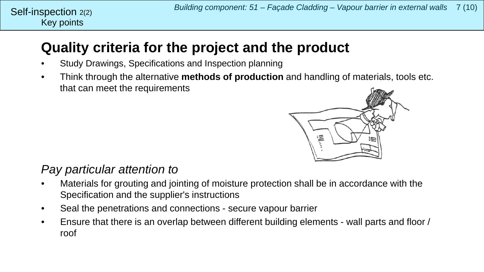## **Quality criteria for the project and the product**

- Study Drawings, Specifications and Inspection planning
- Think through the alternative **methods of production** and handling of materials, tools etc. that can meet the requirements



### *Pay particular attention to*

- Materials for grouting and jointing of moisture protection shall be in accordance with the Specification and the supplier's instructions
- Seal the penetrations and connections secure vapour barrier
- Ensure that there is an overlap between different building elements wall parts and floor / roof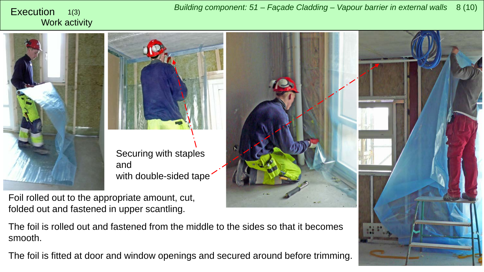#### <span id="page-7-0"></span>Work activity 1(3)





and with double-sided tape<sup>-</sup>

Foil rolled out to the appropriate amount, cut, folded out and fastened in upper scantling.



The foil is fitted at door and window openings and secured around before trimming.

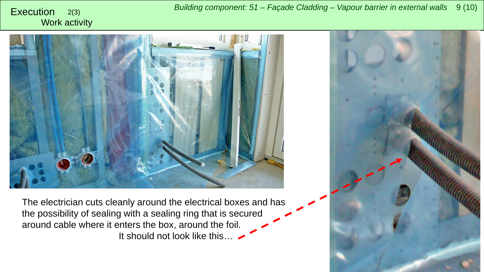Work activity



The electrician cuts cleanly around the electrical boxes and has the possibility of sealing with a sealing ring that is secured around cable where it enters the box, around the foil. It should not look like this…